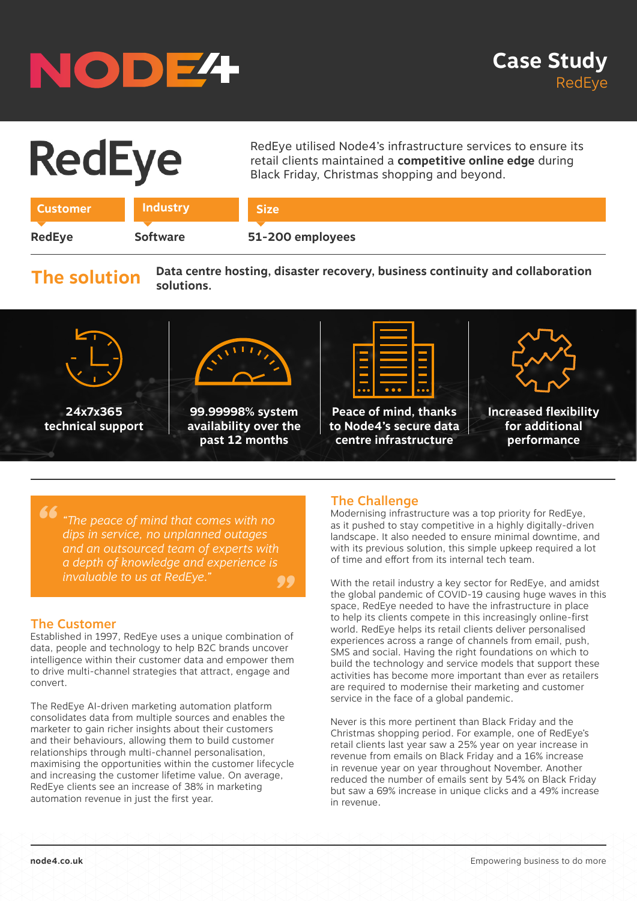## NODE<sup>4</sup>

# **RedEye**

RedEye utilised Node4's infrastructure services to ensure its retail clients maintained a **competitive online edge** during Black Friday, Christmas shopping and beyond.

| ustomer. |                 |                  |
|----------|-----------------|------------------|
|          |                 |                  |
| RedEye   | <b>Software</b> | 51-200 employees |

### **The solution**

**Data centre hosting, disaster recovery, business continuity and collaboration solutions.**



*" " "The peace of mind that comes with no dips in service, no unplanned outages and an outsourced team of experts with a depth of knowledge and experience is invaluable to us at RedEye.* 

#### The Customer

Established in 1997, RedEye uses a unique combination of data, people and technology to help B2C brands uncover intelligence within their customer data and empower them to drive multi-channel strategies that attract, engage and convert.

The RedEye AI-driven marketing automation platform consolidates data from multiple sources and enables the marketer to gain richer insights about their customers and their behaviours, allowing them to build customer relationships through multi-channel personalisation, maximising the opportunities within the customer lifecycle and increasing the customer lifetime value. On average, RedEye clients see an increase of 38% in marketing automation revenue in just the first year.

#### The Challenge

Modernising infrastructure was a top priority for RedEye, as it pushed to stay competitive in a highly digitally-driven landscape. It also needed to ensure minimal downtime, and with its previous solution, this simple upkeep required a lot of time and effort from its internal tech team.

With the retail industry a key sector for RedEye, and amidst the global pandemic of COVID-19 causing huge waves in this space, RedEye needed to have the infrastructure in place to help its clients compete in this increasingly online-first world. RedEye helps its retail clients deliver personalised experiences across a range of channels from email, push, SMS and social. Having the right foundations on which to build the technology and service models that support these activities has become more important than ever as retailers are required to modernise their marketing and customer service in the face of a global pandemic.

Never is this more pertinent than Black Friday and the Christmas shopping period. For example, one of RedEye's retail clients last year saw a 25% year on year increase in revenue from emails on Black Friday and a 16% increase in revenue year on year throughout November. Another reduced the number of emails sent by 54% on Black Friday but saw a 69% increase in unique clicks and a 49% increase in revenue.